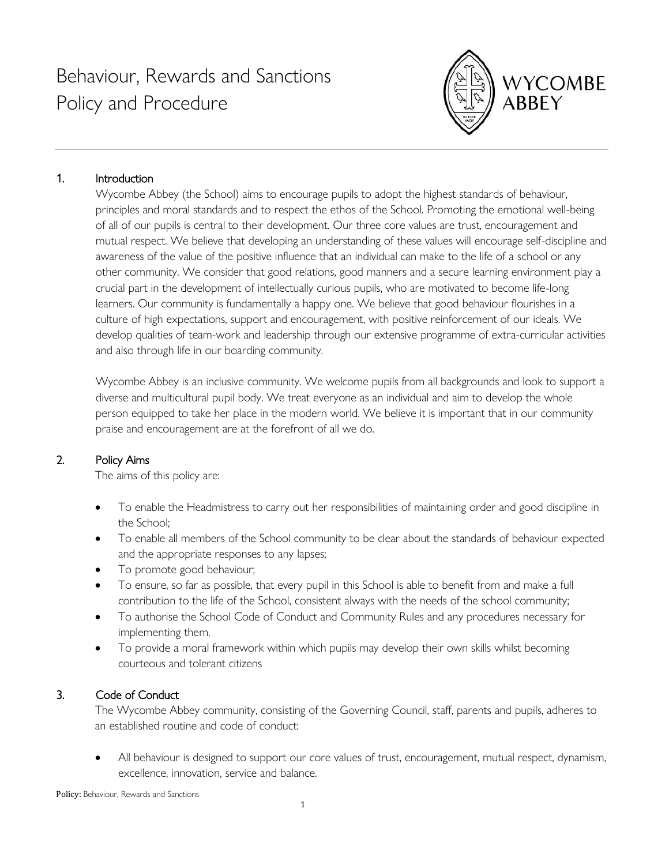

## 1. Introduction

Wycombe Abbey (the School) aims to encourage pupils to adopt the highest standards of behaviour, principles and moral standards and to respect the ethos of the School. Promoting the emotional well-being of all of our pupils is central to their development. Our three core values are trust, encouragement and mutual respect. We believe that developing an understanding of these values will encourage self-discipline and awareness of the value of the positive influence that an individual can make to the life of a school or any other community. We consider that good relations, good manners and a secure learning environment play a crucial part in the development of intellectually curious pupils, who are motivated to become life-long learners. Our community is fundamentally a happy one. We believe that good behaviour flourishes in a culture of high expectations, support and encouragement, with positive reinforcement of our ideals. We develop qualities of team-work and leadership through our extensive programme of extra-curricular activities and also through life in our boarding community.

Wycombe Abbey is an inclusive community. We welcome pupils from all backgrounds and look to support a diverse and multicultural pupil body. We treat everyone as an individual and aim to develop the whole person equipped to take her place in the modern world. We believe it is important that in our community praise and encouragement are at the forefront of all we do.

## 2. Policy Aims

The aims of this policy are:

- To enable the Headmistress to carry out her responsibilities of maintaining order and good discipline in the School;
- To enable all members of the School community to be clear about the standards of behaviour expected and the appropriate responses to any lapses;
- To promote good behaviour;
- To ensure, so far as possible, that every pupil in this School is able to benefit from and make a full contribution to the life of the School, consistent always with the needs of the school community;
- To authorise the School Code of Conduct and Community Rules and any procedures necessary for implementing them.
- To provide a moral framework within which pupils may develop their own skills whilst becoming courteous and tolerant citizens

## 3. Code of Conduct

The Wycombe Abbey community, consisting of the Governing Council, staff, parents and pupils, adheres to an established routine and code of conduct:

• All behaviour is designed to support our core values of trust, encouragement, mutual respect, dynamism, excellence, innovation, service and balance.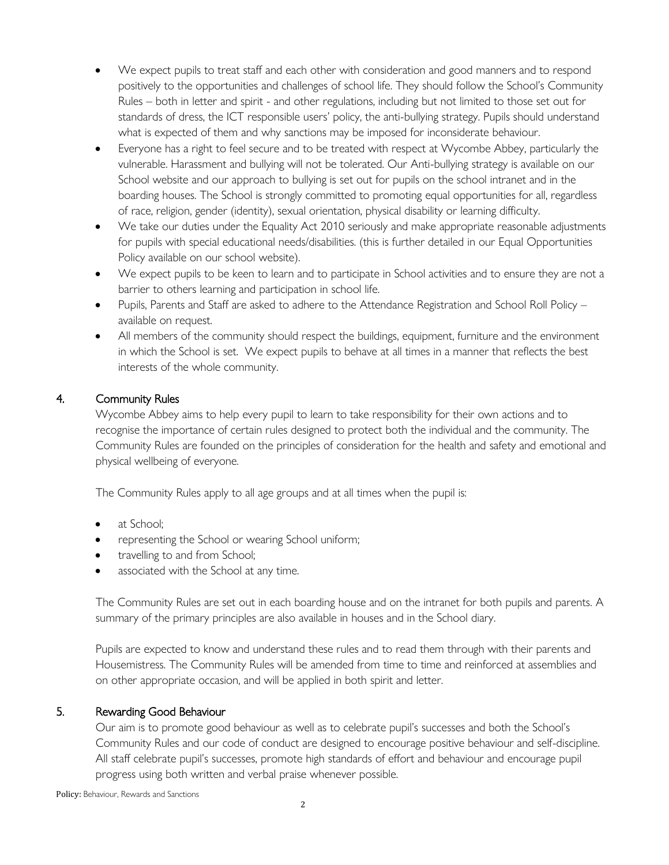- We expect pupils to treat staff and each other with consideration and good manners and to respond positively to the opportunities and challenges of school life. They should follow the School's Community Rules – both in letter and spirit - and other regulations, including but not limited to those set out for standards of dress, the ICT responsible users' policy, the anti-bullying strategy. Pupils should understand what is expected of them and why sanctions may be imposed for inconsiderate behaviour.
- Everyone has a right to feel secure and to be treated with respect at Wycombe Abbey, particularly the vulnerable. Harassment and bullying will not be tolerated. Our Anti-bullying strategy is available on our School website and our approach to bullying is set out for pupils on the school intranet and in the boarding houses. The School is strongly committed to promoting equal opportunities for all, regardless of race, religion, gender (identity), sexual orientation, physical disability or learning difficulty.
- We take our duties under the Equality Act 2010 seriously and make appropriate reasonable adjustments for pupils with special educational needs/disabilities. (this is further detailed in our Equal Opportunities Policy available on our school website).
- We expect pupils to be keen to learn and to participate in School activities and to ensure they are not a barrier to others learning and participation in school life.
- Pupils, Parents and Staff are asked to adhere to the Attendance Registration and School Roll Policy available on request.
- All members of the community should respect the buildings, equipment, furniture and the environment in which the School is set. We expect pupils to behave at all times in a manner that reflects the best interests of the whole community.

# 4. Community Rules

Wycombe Abbey aims to help every pupil to learn to take responsibility for their own actions and to recognise the importance of certain rules designed to protect both the individual and the community. The Community Rules are founded on the principles of consideration for the health and safety and emotional and physical wellbeing of everyone.

The [Community Rules](https://wasintranet.wycombeabbey.com/Resources/Staff%20%5BF73%5D/Policies%20and%20Procedures%20%5BFlda%5D/Handbooks%20File%20List/Principles%20of%20Boarding%20and%20Community%20Rules.pdf) apply to all age groups and at all times when the pupil is:

- at School;
- representing the School or wearing School uniform;
- travelling to and from School;
- associated with the School at any time.

The Community Rules are set out in each boarding house and on the intranet for both pupils and parents. A summary of the primary principles are also available in houses and in the School diary.

Pupils are expected to know and understand these rules and to read them through with their parents and Housemistress. The Community Rules will be amended from time to time and reinforced at assemblies and on other appropriate occasion, and will be applied in both spirit and letter.

#### 5. Rewarding Good Behaviour

Our aim is to promote good behaviour as well as to celebrate pupil's successes and both the School's Community Rules and our code of conduct are designed to encourage positive behaviour and self-discipline. All staff celebrate pupil's successes, promote high standards of effort and behaviour and encourage pupil progress using both written and verbal praise whenever possible.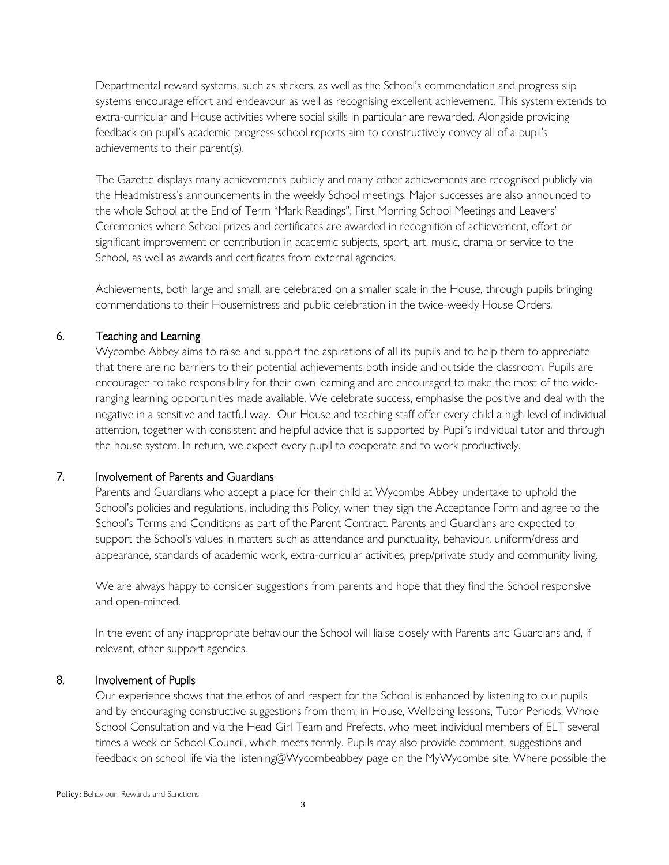Departmental reward systems, such as stickers, as well as the School's commendation and progress slip systems encourage effort and endeavour as well as recognising excellent achievement. This system extends to extra-curricular and House activities where social skills in particular are rewarded. Alongside providing feedback on pupil's academic progress school reports aim to constructively convey all of a pupil's achievements to their parent(s).

The Gazette displays many achievements publicly and many other achievements are recognised publicly via the Headmistress's announcements in the weekly School meetings. Major successes are also announced to the whole School at the End of Term "Mark Readings", First Morning School Meetings and Leavers' Ceremonies where School prizes and certificates are awarded in recognition of achievement, effort or significant improvement or contribution in academic subjects, sport, art, music, drama or service to the School, as well as awards and certificates from external agencies.

Achievements, both large and small, are celebrated on a smaller scale in the House, through pupils bringing commendations to their Housemistress and public celebration in the twice-weekly House Orders.

## 6. Teaching and Learning

Wycombe Abbey aims to raise and support the aspirations of all its pupils and to help them to appreciate that there are no barriers to their potential achievements both inside and outside the classroom. Pupils are encouraged to take responsibility for their own learning and are encouraged to make the most of the wideranging learning opportunities made available. We celebrate success, emphasise the positive and deal with the negative in a sensitive and tactful way. Our House and teaching staff offer every child a high level of individual attention, together with consistent and helpful advice that is supported by Pupil's individual tutor and through the house system. In return, we expect every pupil to cooperate and to work productively.

#### 7. Involvement of Parents and Guardians

Parents and Guardians who accept a place for their child at Wycombe Abbey undertake to uphold the School's policies and regulations, including this Policy, when they sign the Acceptance Form and agree to the School's Terms and Conditions as part of the Parent Contract. Parents and Guardians are expected to support the School's values in matters such as attendance and punctuality, behaviour, uniform/dress and appearance, standards of academic work, extra-curricular activities, prep/private study and community living.

We are always happy to consider suggestions from parents and hope that they find the School responsive and open-minded.

In the event of any inappropriate behaviour the School will liaise closely with Parents and Guardians and, if relevant, other support agencies.

#### 8. Involvement of Pupils

Our experience shows that the ethos of and respect for the School is enhanced by listening to our pupils and by encouraging constructive suggestions from them; in House, Wellbeing lessons, Tutor Periods, Whole School Consultation and via the Head Girl Team and Prefects, who meet individual members of ELT several times a week or School Council, which meets termly. Pupils may also provide comment, suggestions and feedback on school life via the listening@Wycombeabbey page on the MyWycombe site. Where possible the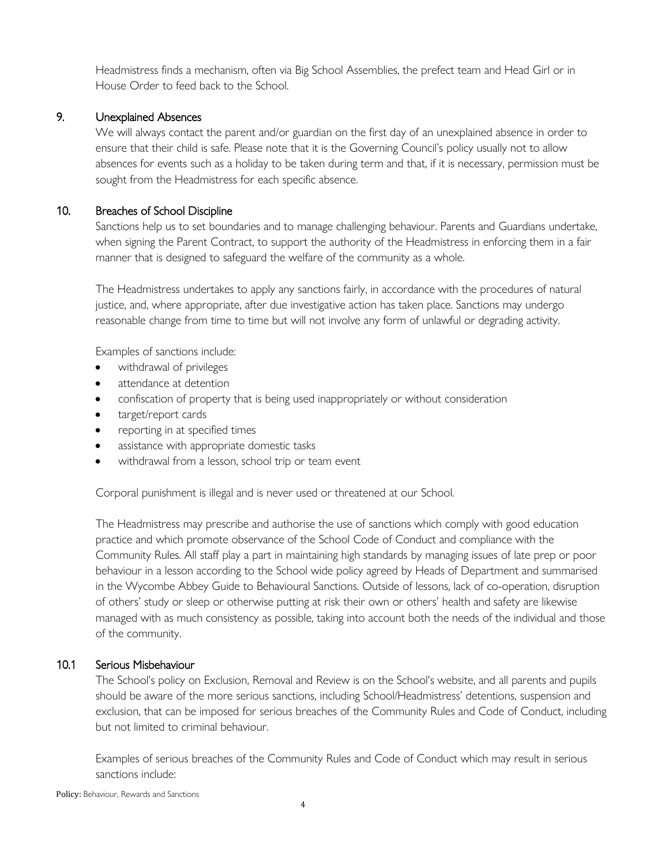Headmistress finds a mechanism, often via Big School Assemblies, the prefect team and Head Girl or in House Order to feed back to the School.

#### 9. Unexplained Absences

We will always contact the parent and/or guardian on the first day of an unexplained absence in order to ensure that their child is safe. Please note that it is the Governing Council's policy usually not to allow absences for events such as a holiday to be taken during term and that, if it is necessary, permission must be sought from the Headmistress for each specific absence.

## 10. Breaches of School Discipline

Sanctions help us to set boundaries and to manage challenging behaviour. Parents and Guardians undertake, when signing the Parent Contract, to support the authority of the Headmistress in enforcing them in a fair manner that is designed to safeguard the welfare of the community as a whole.

The Headmistress undertakes to apply any sanctions fairly, in accordance with the procedures of natural justice, and, where appropriate, after due investigative action has taken place. Sanctions may undergo reasonable change from time to time but will not involve any form of unlawful or degrading activity.

Examples of sanctions include:

- withdrawal of privileges
- attendance at detention
- confiscation of property that is being used inappropriately or without consideration
- target/report cards
- reporting in at specified times
- assistance with appropriate domestic tasks
- withdrawal from a lesson, school trip or team event

Corporal punishment is illegal and is never used or threatened at our School.

The Headmistress may prescribe and authorise the use of sanctions which comply with good education practice and which promote observance of the School Code of Conduct and compliance with the Community Rules. All staff play a part in maintaining high standards by managing issues of late prep or poor behaviour in a lesson according to the School wide policy agreed by Heads of Department and summarised in the Wycombe Abbey Guide to Behavioural Sanctions. Outside of lessons, lack of co-operation, disruption of others' study or sleep or otherwise putting at risk their own or others' health and safety are likewise managed with as much consistency as possible, taking into account both the needs of the individual and those of the community.

## 10.1 Serious Misbehaviour

The School's policy on Exclusion, Removal and Review is on the School's website, and all parents and pupils should be aware of the more serious sanctions, including School/Headmistress' detentions, suspension and exclusion, that can be imposed for serious breaches of the Community Rules and Code of Conduct, including but not limited to criminal behaviour.

Examples of serious breaches of the Community Rules and Code of Conduct which may result in serious sanctions include: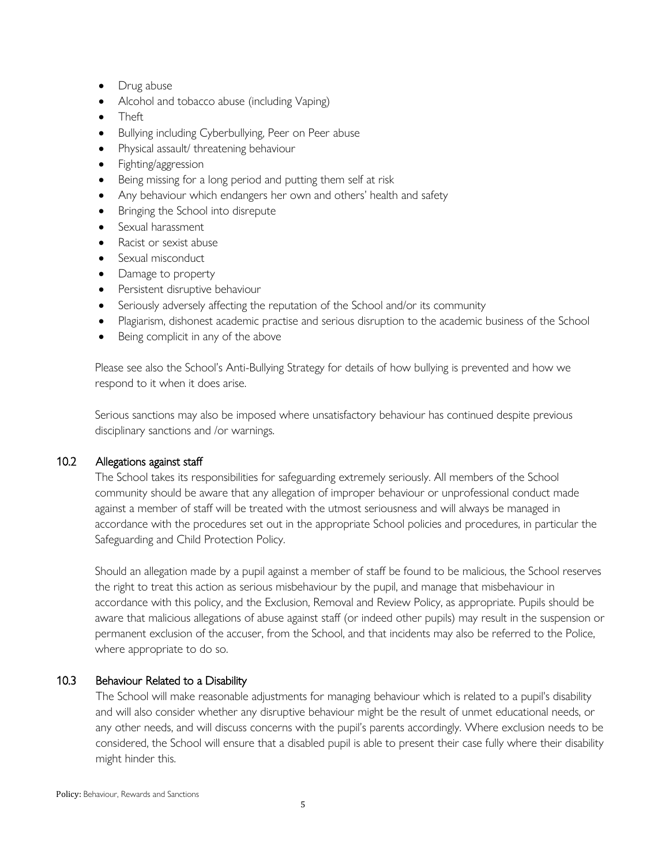- Drug abuse
- Alcohol and tobacco abuse (including Vaping)
- Theft
- Bullying including Cyberbullying, Peer on Peer abuse
- Physical assault/ threatening behaviour
- Fighting/aggression
- Being missing for a long period and putting them self at risk
- Any behaviour which endangers her own and others' health and safety
- Bringing the School into disrepute
- Sexual harassment
- Racist or sexist abuse
- Sexual misconduct
- Damage to property
- Persistent disruptive behaviour
- Seriously adversely affecting the reputation of the School and/or its community
- Plagiarism, dishonest academic practise and serious disruption to the academic business of the School
- Being complicit in any of the above

Please see also the School's Anti-Bullying Strategy for details of how bullying is prevented and how we respond to it when it does arise.

Serious sanctions may also be imposed where unsatisfactory behaviour has continued despite previous disciplinary sanctions and /or warnings.

#### 10.2 Allegations against staff

The School takes its responsibilities for safeguarding extremely seriously. All members of the School community should be aware that any allegation of improper behaviour or unprofessional conduct made against a member of staff will be treated with the utmost seriousness and will always be managed in accordance with the procedures set out in the appropriate School policies and procedures, in particular the Safeguarding and Child Protection Policy.

Should an allegation made by a pupil against a member of staff be found to be malicious, the School reserves the right to treat this action as serious misbehaviour by the pupil, and manage that misbehaviour in accordance with this policy, and the Exclusion, Removal and Review Policy, as appropriate. Pupils should be aware that malicious allegations of abuse against staff (or indeed other pupils) may result in the suspension or permanent exclusion of the accuser, from the School, and that incidents may also be referred to the Police, where appropriate to do so.

#### 10.3 Behaviour Related to a Disability

The School will make reasonable adjustments for managing behaviour which is related to a pupil's disability and will also consider whether any disruptive behaviour might be the result of unmet educational needs, or any other needs, and will discuss concerns with the pupil's parents accordingly. Where exclusion needs to be considered, the School will ensure that a disabled pupil is able to present their case fully where their disability might hinder this.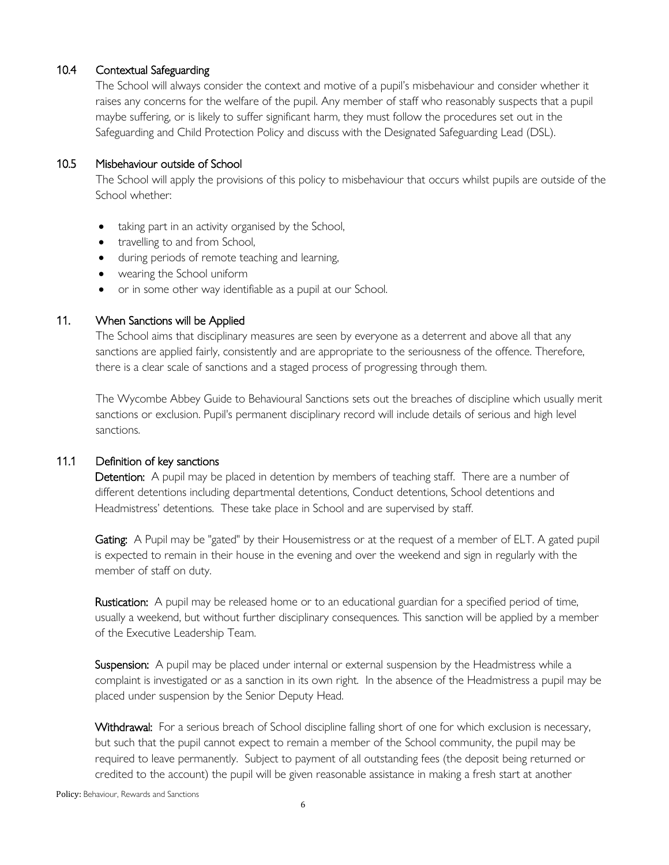### 10.4 Contextual Safeguarding

The School will always consider the context and motive of a pupil's misbehaviour and consider whether it raises any concerns for the welfare of the pupil. Any member of staff who reasonably suspects that a pupil maybe suffering, or is likely to suffer significant harm, they must follow the procedures set out in the Safeguarding and Child Protection Policy and discuss with the Designated Safeguarding Lead (DSL).

## 10.5 Misbehaviour outside of School

The School will apply the provisions of this policy to misbehaviour that occurs whilst pupils are outside of the School whether:

- taking part in an activity organised by the School,
- travelling to and from School,
- during periods of remote teaching and learning,
- wearing the School uniform
- or in some other way identifiable as a pupil at our School.

## 11. When Sanctions will be Applied

The School aims that disciplinary measures are seen by everyone as a deterrent and above all that any sanctions are applied fairly, consistently and are appropriate to the seriousness of the offence. Therefore, there is a clear scale of sanctions and a staged process of progressing through them.

The Wycombe Abbey Guide to Behavioural Sanctions sets out the breaches of discipline which usually merit sanctions or exclusion. Pupil's permanent disciplinary record will include details of serious and high level sanctions.

#### 11.1 Definition of key sanctions

Detention: A pupil may be placed in detention by members of teaching staff. There are a number of different detentions including departmental detentions, Conduct detentions, School detentions and Headmistress' detentions. These take place in School and are supervised by staff.

Gating: A Pupil may be "gated" by their Housemistress or at the request of a member of ELT. A gated pupil is expected to remain in their house in the evening and over the weekend and sign in regularly with the member of staff on duty.

Rustication: A pupil may be released home or to an educational guardian for a specified period of time, usually a weekend, but without further disciplinary consequences. This sanction will be applied by a member of the Executive Leadership Team.

Suspension: A pupil may be placed under internal or external suspension by the Headmistress while a complaint is investigated or as a sanction in its own right. In the absence of the Headmistress a pupil may be placed under suspension by the Senior Deputy Head.

Withdrawal: For a serious breach of School discipline falling short of one for which exclusion is necessary, but such that the pupil cannot expect to remain a member of the School community, the pupil may be required to leave permanently. Subject to payment of all outstanding fees (the deposit being returned or credited to the account) the pupil will be given reasonable assistance in making a fresh start at another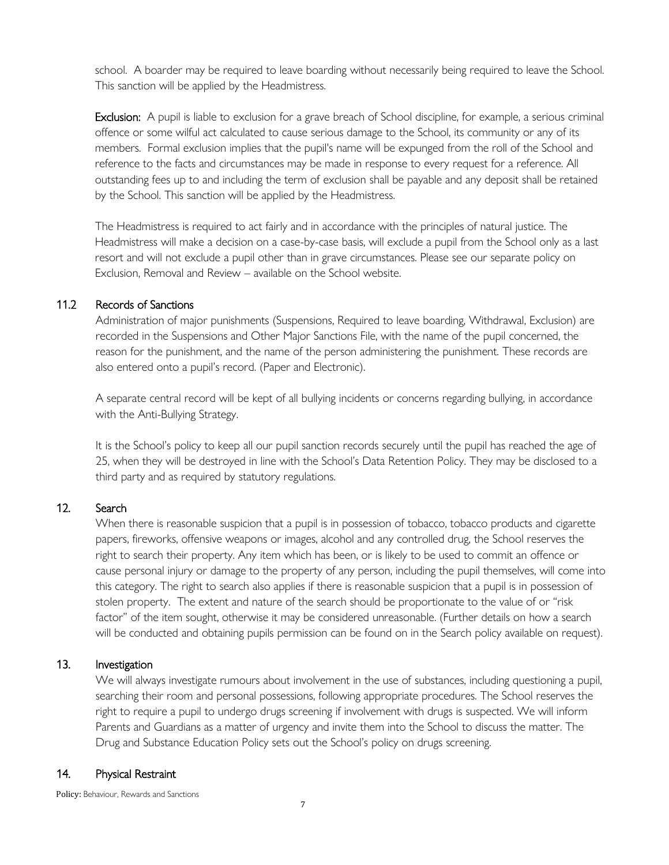school. A boarder may be required to leave boarding without necessarily being required to leave the School. This sanction will be applied by the Headmistress.

Exclusion: A pupil is liable to exclusion for a grave breach of School discipline, for example, a serious criminal offence or some wilful act calculated to cause serious damage to the School, its community or any of its members. Formal exclusion implies that the pupil's name will be expunged from the roll of the School and reference to the facts and circumstances may be made in response to every request for a reference. All outstanding fees up to and including the term of exclusion shall be payable and any deposit shall be retained by the School. This sanction will be applied by the Headmistress.

The Headmistress is required to act fairly and in accordance with the principles of natural justice. The Headmistress will make a decision on a case-by-case basis, will exclude a pupil from the School only as a last resort and will not exclude a pupil other than in grave circumstances. Please see our separate policy on Exclusion, Removal and Review – available on the School website.

#### 11.2 Records of Sanctions

Administration of major punishments (Suspensions, Required to leave boarding, Withdrawal, Exclusion) are recorded in the Suspensions and Other Major Sanctions File, with the name of the pupil concerned, the reason for the punishment, and the name of the person administering the punishment. These records are also entered onto a pupil's record. (Paper and Electronic).

A separate central record will be kept of all bullying incidents or concerns regarding bullying, in accordance with the Anti-Bullying Strategy.

It is the School's policy to keep all our pupil sanction records securely until the pupil has reached the age of 25, when they will be destroyed in line with the School's Data Retention Policy. They may be disclosed to a third party and as required by statutory regulations.

#### 12. Search

When there is reasonable suspicion that a pupil is in possession of tobacco, tobacco products and cigarette papers, fireworks, offensive weapons or images, alcohol and any controlled drug, the School reserves the right to search their property. Any item which has been, or is likely to be used to commit an offence or cause personal injury or damage to the property of any person, including the pupil themselves, will come into this category. The right to search also applies if there is reasonable suspicion that a pupil is in possession of stolen property. The extent and nature of the search should be proportionate to the value of or "risk factor" of the item sought, otherwise it may be considered unreasonable. (Further details on how a search will be conducted and obtaining pupils permission can be found on in the Search policy available on request).

## 13. Investigation

We will always investigate rumours about involvement in the use of substances, including questioning a pupil, searching their room and personal possessions, following appropriate procedures. The School reserves the right to require a pupil to undergo drugs screening if involvement with drugs is suspected. We will inform Parents and Guardians as a matter of urgency and invite them into the School to discuss the matter. The Drug and Substance Education Policy sets out the School's policy on drugs screening.

#### 14. Physical Restraint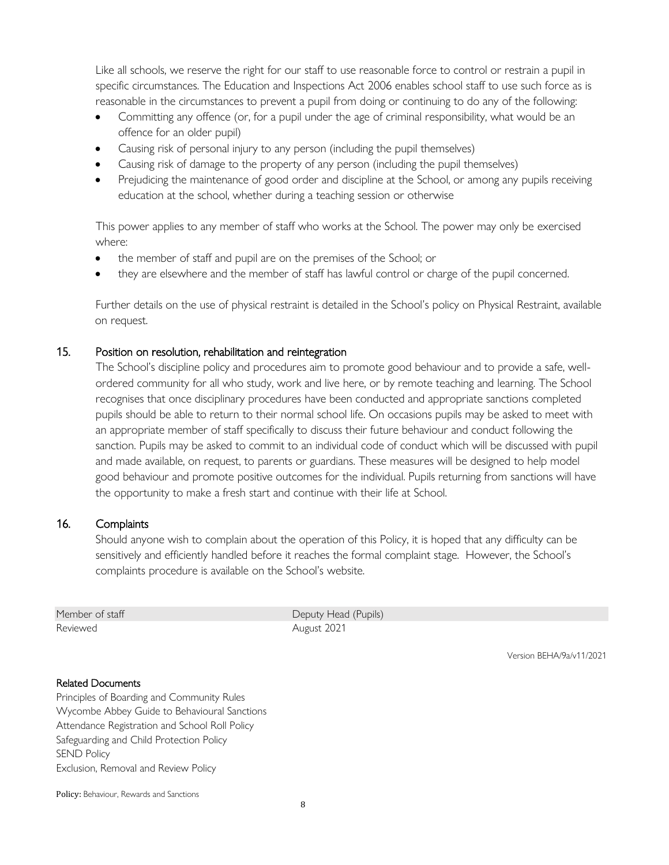Like all schools, we reserve the right for our staff to use reasonable force to control or restrain a pupil in specific circumstances. The Education and Inspections Act 2006 enables school staff to use such force as is reasonable in the circumstances to prevent a pupil from doing or continuing to do any of the following:

- Committing any offence (or, for a pupil under the age of criminal responsibility, what would be an offence for an older pupil)
- Causing risk of personal injury to any person (including the pupil themselves)
- Causing risk of damage to the property of any person (including the pupil themselves)
- Prejudicing the maintenance of good order and discipline at the School, or among any pupils receiving education at the school, whether during a teaching session or otherwise

This power applies to any member of staff who works at the School. The power may only be exercised where:

- the member of staff and pupil are on the premises of the School; or
- they are elsewhere and the member of staff has lawful control or charge of the pupil concerned.

Further details on the use of physical restraint is detailed in the School's policy on Physical Restraint, available on request.

#### 15. Position on resolution, rehabilitation and reintegration

The School's discipline policy and procedures aim to promote good behaviour and to provide a safe, wellordered community for all who study, work and live here, or by remote teaching and learning. The School recognises that once disciplinary procedures have been conducted and appropriate sanctions completed pupils should be able to return to their normal school life. On occasions pupils may be asked to meet with an appropriate member of staff specifically to discuss their future behaviour and conduct following the sanction. Pupils may be asked to commit to an individual code of conduct which will be discussed with pupil and made available, on request, to parents or guardians. These measures will be designed to help model good behaviour and promote positive outcomes for the individual. Pupils returning from sanctions will have the opportunity to make a fresh start and continue with their life at School.

#### 16. Complaints

Should anyone wish to complain about the operation of this Policy, it is hoped that any difficulty can be sensitively and efficiently handled before it reaches the formal complaint stage. However, the School's complaints procedure is available on the School's website.

Reviewed **August 2021** 

Member of staff Deputy Head (Pupils)

Version BEHA/9a/v11/2021

#### Related Documents

Principles of Boarding and Community Rules Wycombe Abbey Guide to Behavioural Sanctions Attendance Registration and School Roll Policy Safeguarding and Child Protection Policy SEND Policy Exclusion, Removal and Review Policy